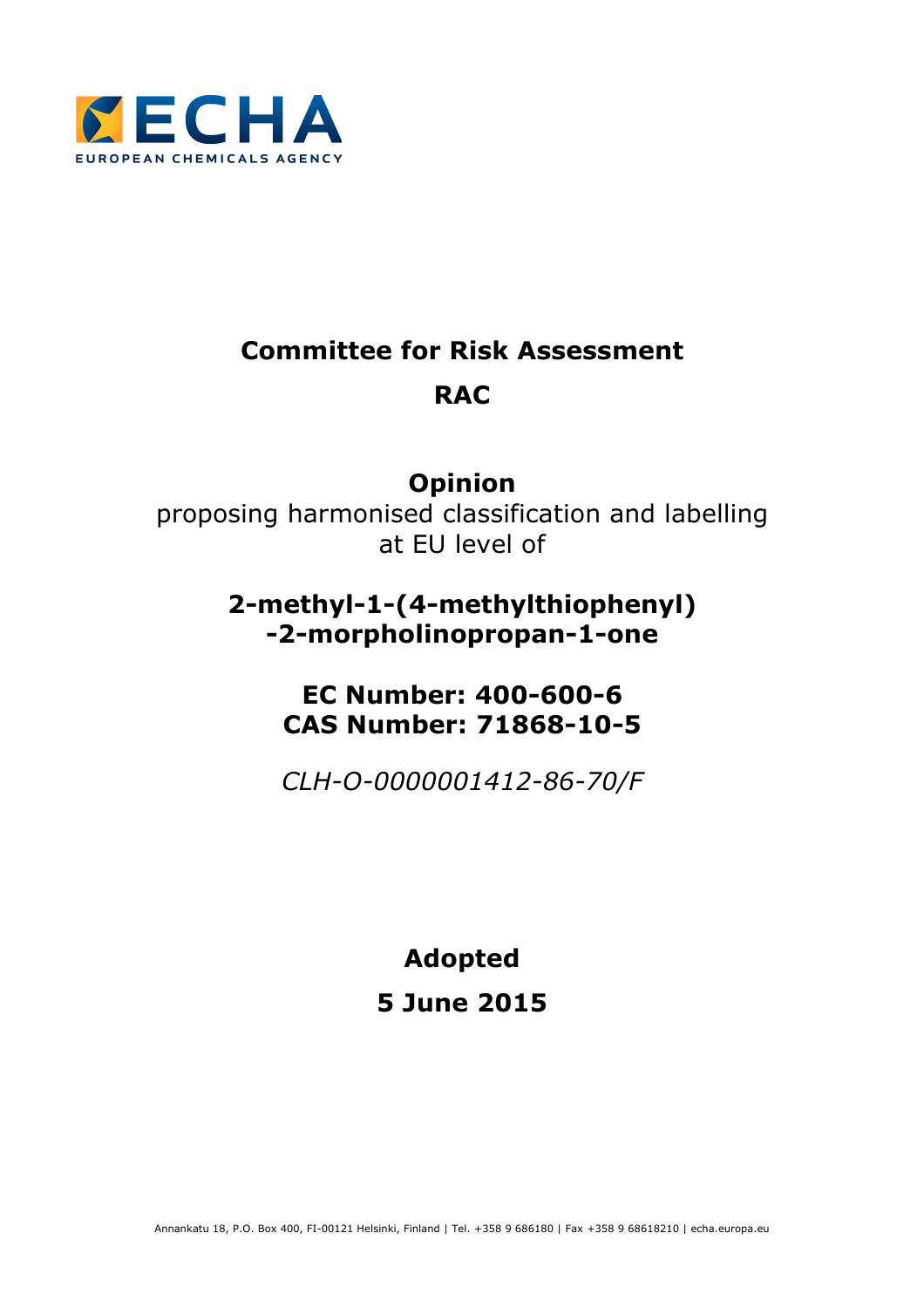

# **Committee for Risk Assessment RAC**

# **Opinion**

proposing harmonised classification and labelling at EU level of

# **2-methyl-1-(4-methylthiophenyl) -2-morpholinopropan-1-one**

# **EC Number: 400-600-6 CAS Number: 71868-10-5**

*CLH-O-0000001412-86-70/F*

**Adopted** 

# **5 June 2015**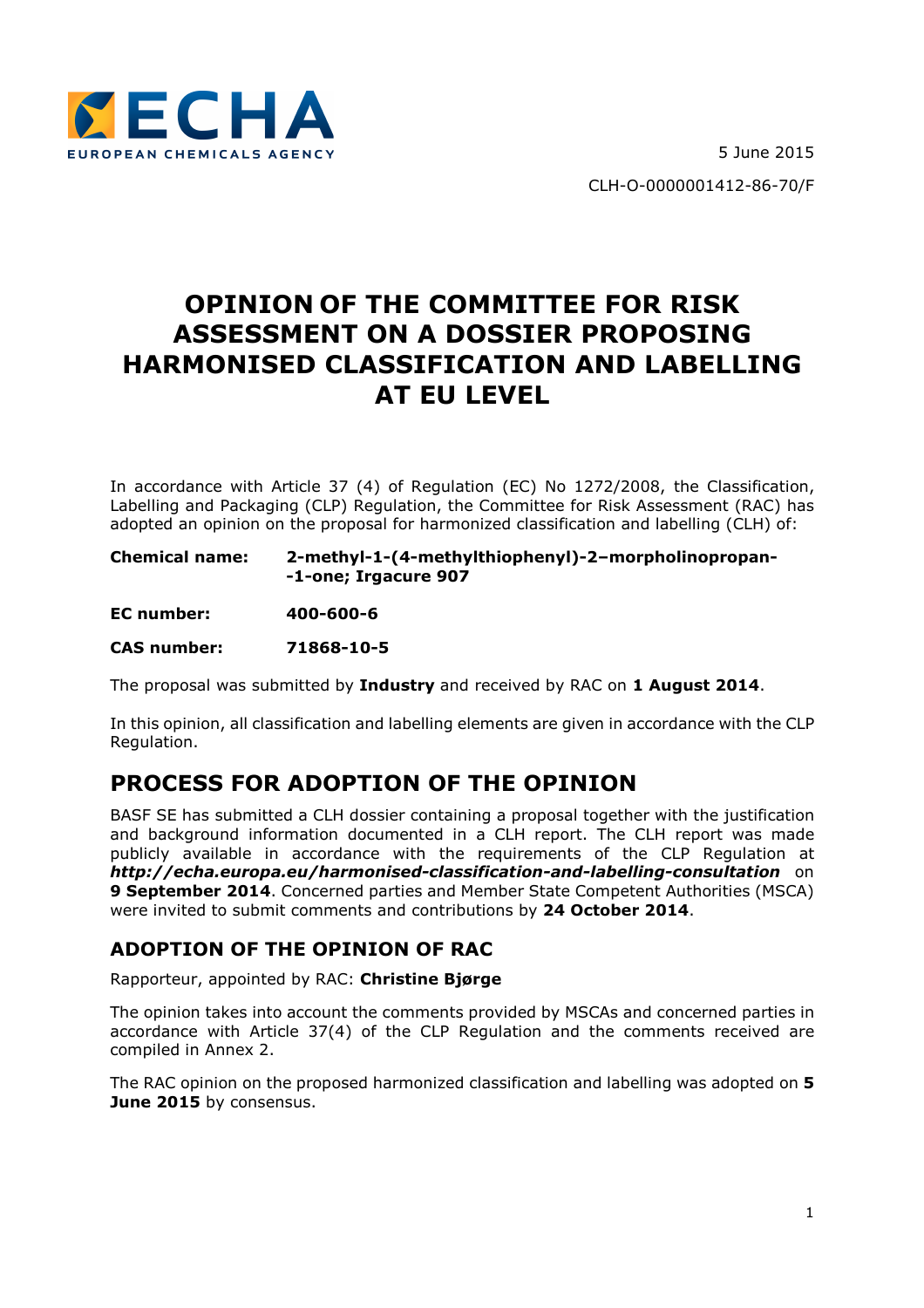

# **OPINION OF THE COMMITTEE FOR RISK ASSESSMENT ON A DOSSIER PROPOSING HARMONISED CLASSIFICATION AND LABELLING AT EU LEVEL**

In accordance with Article 37 (4) of Regulation (EC) No 1272/2008, the Classification, Labelling and Packaging (CLP) Regulation, the Committee for Risk Assessment (RAC) has adopted an opinion on the proposal for harmonized classification and labelling (CLH) of:

**Chemical name: 2-methyl-1-(4-methylthiophenyl)-2–morpholinopropan- -1-one; Irgacure 907** 

**EC number: 400-600-6** 

**CAS number: 71868-10-5** 

The proposal was submitted by **Industry** and received by RAC on **1 August 2014**.

In this opinion, all classification and labelling elements are given in accordance with the CLP Regulation.

## **PROCESS FOR ADOPTION OF THE OPINION**

BASF SE has submitted a CLH dossier containing a proposal together with the justification and background information documented in a CLH report. The CLH report was made publicly available in accordance with the requirements of the CLP Regulation at *http://echa.europa.eu/harmonised-classification-and-labelling-consultation* on **9 September 2014**. Concerned parties and Member State Competent Authorities (MSCA) were invited to submit comments and contributions by **24 October 2014**.

## **ADOPTION OF THE OPINION OF RAC**

Rapporteur, appointed by RAC: **Christine Bjørge** 

The opinion takes into account the comments provided by MSCAs and concerned parties in accordance with Article 37(4) of the CLP Regulation and the comments received are compiled in Annex 2.

The RAC opinion on the proposed harmonized classification and labelling was adopted on **5 June 2015** by consensus.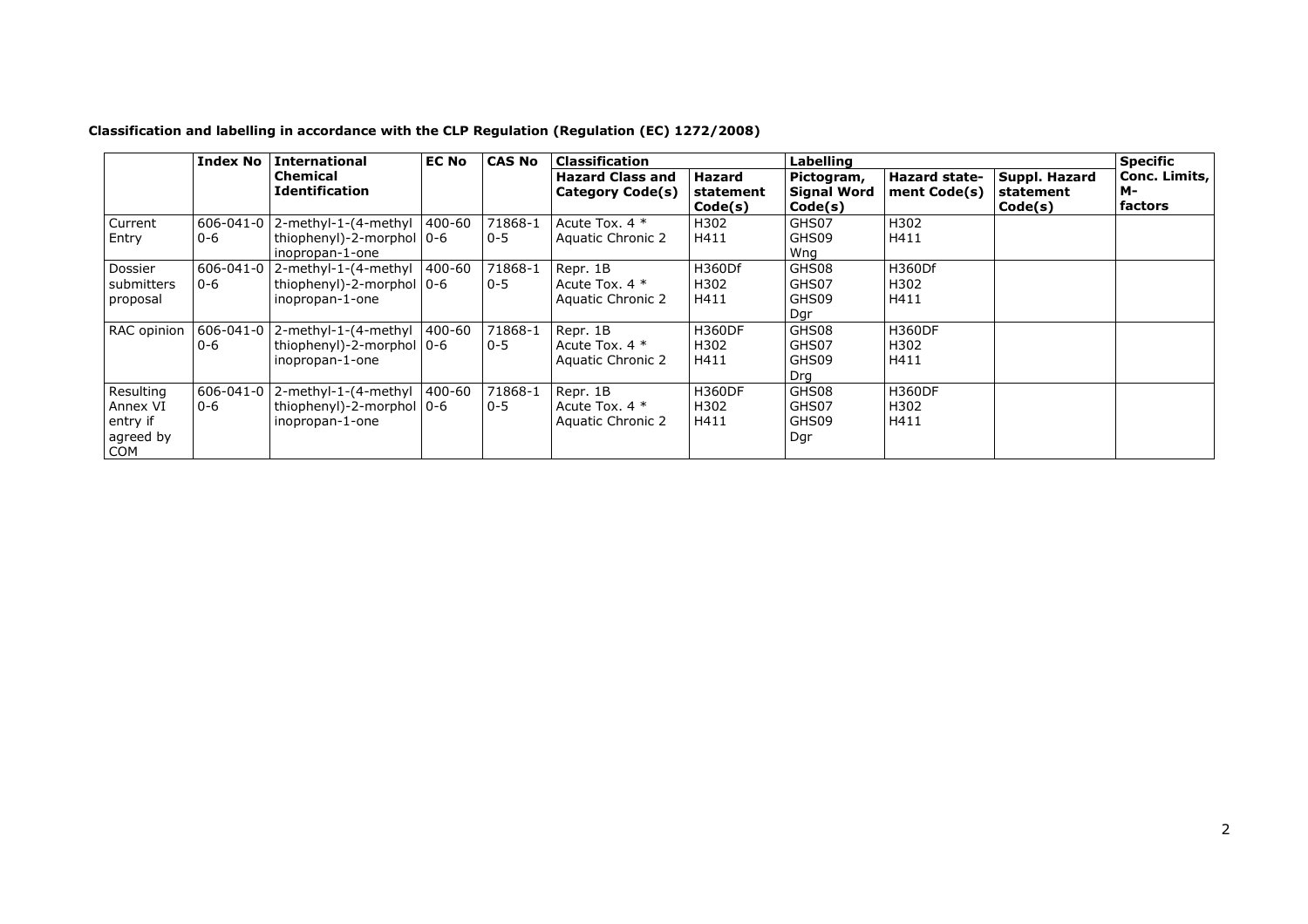| Classification and labelling in accordance with the CLP Regulation (Regulation (EC) 1272/2008) |  |  |  |
|------------------------------------------------------------------------------------------------|--|--|--|
|------------------------------------------------------------------------------------------------|--|--|--|

|                                                              | <b>Index No</b>            | <b>International</b>                                                          | <b>EC No</b> | <b>CAS No</b>      | <b>Classification</b>                                    |                                | Labelling                                   | <b>Specific</b>                      |                                       |                                       |
|--------------------------------------------------------------|----------------------------|-------------------------------------------------------------------------------|--------------|--------------------|----------------------------------------------------------|--------------------------------|---------------------------------------------|--------------------------------------|---------------------------------------|---------------------------------------|
|                                                              |                            | <b>Chemical</b><br><b>Identification</b>                                      |              |                    | <b>Hazard Class and</b><br>Category Code(s)              | Hazard<br>statement<br>Code(s) | Pictogram,<br><b>Signal Word</b><br>Code(s) | <b>Hazard state-</b><br>ment Code(s) | Suppl. Hazard<br>statement<br>Code(s) | Conc. Limits,<br><b>M-</b><br>factors |
| Current<br>Entry                                             | $606 - 041 - 0$<br>$0 - 6$ | 2-methyl-1-(4-methyl 400-60<br>thiophenyl)-2-morphol 0-6<br>inopropan-1-one   |              | 71868-1<br>$0 - 5$ | Acute Tox. 4 *<br><b>Aquatic Chronic 2</b>               | H302<br>H411                   | GHS07<br>GHS09<br>Wng                       | H302<br>H411                         |                                       |                                       |
| Dossier<br>submitters<br>proposal                            | $606 - 041 - 0$<br>$0 - 6$ | 2-methyl-1-(4-methyl 400-60<br>thiophenyl)-2-morphol   0-6<br>inopropan-1-one |              | 71868-1<br>$0 - 5$ | Repr. 1B<br>Acute Tox. $4 *$<br>Aquatic Chronic 2        | H360Df<br>H302<br>H411         | GHS08<br>GHS07<br>GHS09<br>Dgr              | H360Df<br>H302<br>H411               |                                       |                                       |
| RAC opinion                                                  | 606-041-0<br>$0 - 6$       | 2-methyl-1-(4-methyl 400-60<br>thiophenyl)-2-morphol 0-6<br>inopropan-1-one   |              | 71868-1<br>$0 - 5$ | Repr. 1B<br>Acute Tox. $4 *$<br><b>Aquatic Chronic 2</b> | <b>H360DF</b><br>H302<br>H411  | GHS08<br>GHS07<br>GHS09<br>Drg              | <b>H360DF</b><br>H302<br>H411        |                                       |                                       |
| Resulting<br>Annex VI<br>entry if<br>agreed by<br><b>COM</b> | $606 - 041 - 0$<br>$0 - 6$ | 2-methyl-1-(4-methyl<br>thiophenyl)-2-morphol 0-6<br>inopropan-1-one          | 400-60       | 71868-1<br>$0 - 5$ | Repr. 1B<br>Acute Tox. $4 *$<br>Aquatic Chronic 2        | <b>H360DF</b><br>H302<br>H411  | GHS08<br>GHS07<br>GHS09<br>Dgr              | <b>H360DF</b><br>H302<br>H411        |                                       |                                       |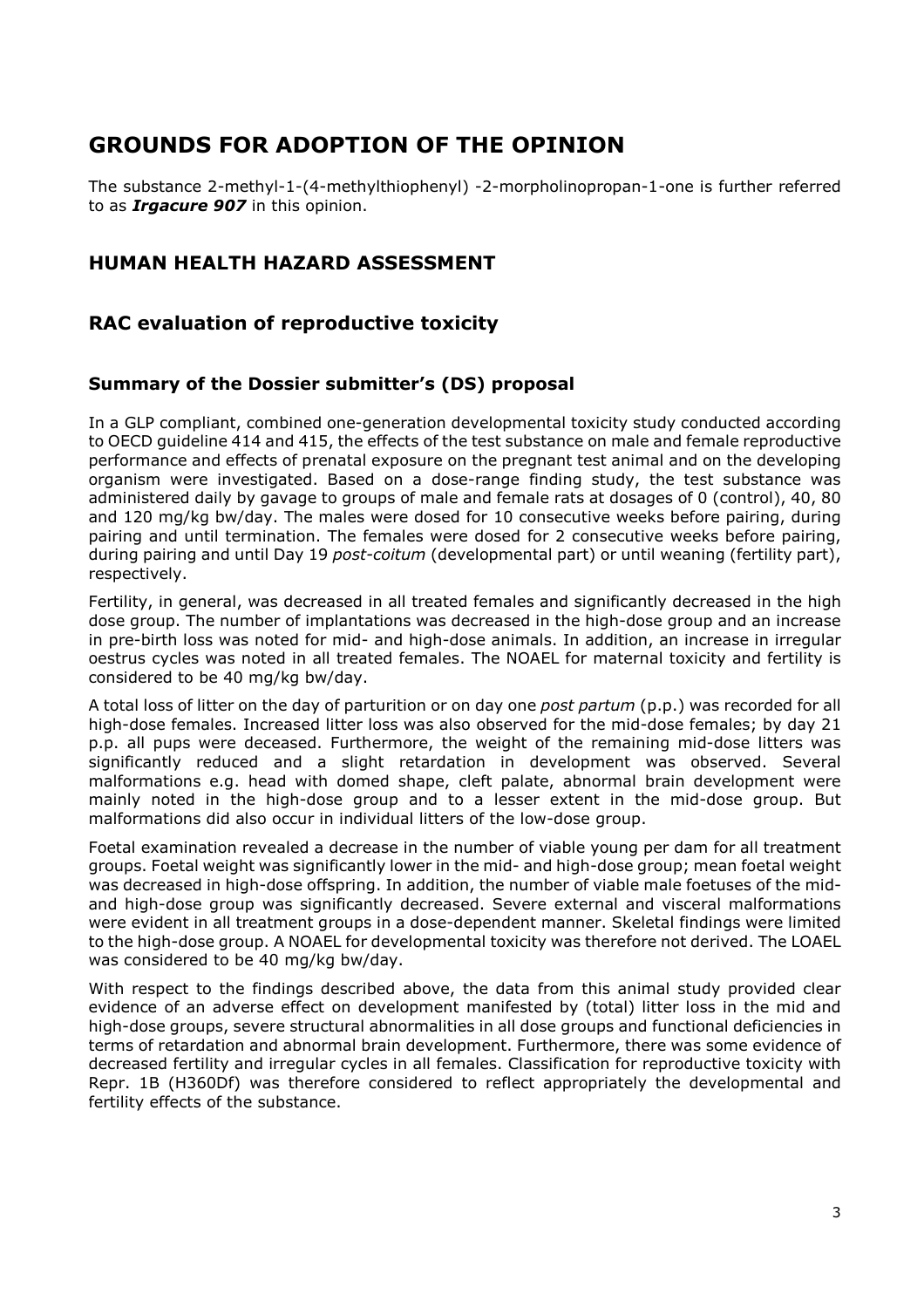## **GROUNDS FOR ADOPTION OF THE OPINION**

The substance 2-methyl-1-(4-methylthiophenyl) -2-morpholinopropan-1-one is further referred to as *Irgacure 907* in this opinion.

### **HUMAN HEALTH HAZARD ASSESSMENT**

### **RAC evaluation of reproductive toxicity**

### **Summary of the Dossier submitter's (DS) proposal**

In a GLP compliant, combined one-generation developmental toxicity study conducted according to OECD guideline 414 and 415, the effects of the test substance on male and female reproductive performance and effects of prenatal exposure on the pregnant test animal and on the developing organism were investigated. Based on a dose-range finding study, the test substance was administered daily by gavage to groups of male and female rats at dosages of 0 (control), 40, 80 and 120 mg/kg bw/day. The males were dosed for 10 consecutive weeks before pairing, during pairing and until termination. The females were dosed for 2 consecutive weeks before pairing, during pairing and until Day 19 *post-coitum* (developmental part) or until weaning (fertility part), respectively.

Fertility, in general, was decreased in all treated females and significantly decreased in the high dose group. The number of implantations was decreased in the high-dose group and an increase in pre-birth loss was noted for mid- and high-dose animals. In addition, an increase in irregular oestrus cycles was noted in all treated females. The NOAEL for maternal toxicity and fertility is considered to be 40 mg/kg bw/day.

A total loss of litter on the day of parturition or on day one *post partum* (p.p.) was recorded for all high-dose females. Increased litter loss was also observed for the mid-dose females; by day 21 p.p. all pups were deceased. Furthermore, the weight of the remaining mid-dose litters was significantly reduced and a slight retardation in development was observed. Several malformations e.g. head with domed shape, cleft palate, abnormal brain development were mainly noted in the high-dose group and to a lesser extent in the mid-dose group. But malformations did also occur in individual litters of the low-dose group.

Foetal examination revealed a decrease in the number of viable young per dam for all treatment groups. Foetal weight was significantly lower in the mid- and high-dose group; mean foetal weight was decreased in high-dose offspring. In addition, the number of viable male foetuses of the midand high-dose group was significantly decreased. Severe external and visceral malformations were evident in all treatment groups in a dose-dependent manner. Skeletal findings were limited to the high-dose group. A NOAEL for developmental toxicity was therefore not derived. The LOAEL was considered to be 40 mg/kg bw/day.

With respect to the findings described above, the data from this animal study provided clear evidence of an adverse effect on development manifested by (total) litter loss in the mid and high-dose groups, severe structural abnormalities in all dose groups and functional deficiencies in terms of retardation and abnormal brain development. Furthermore, there was some evidence of decreased fertility and irregular cycles in all females. Classification for reproductive toxicity with Repr. 1B (H360Df) was therefore considered to reflect appropriately the developmental and fertility effects of the substance.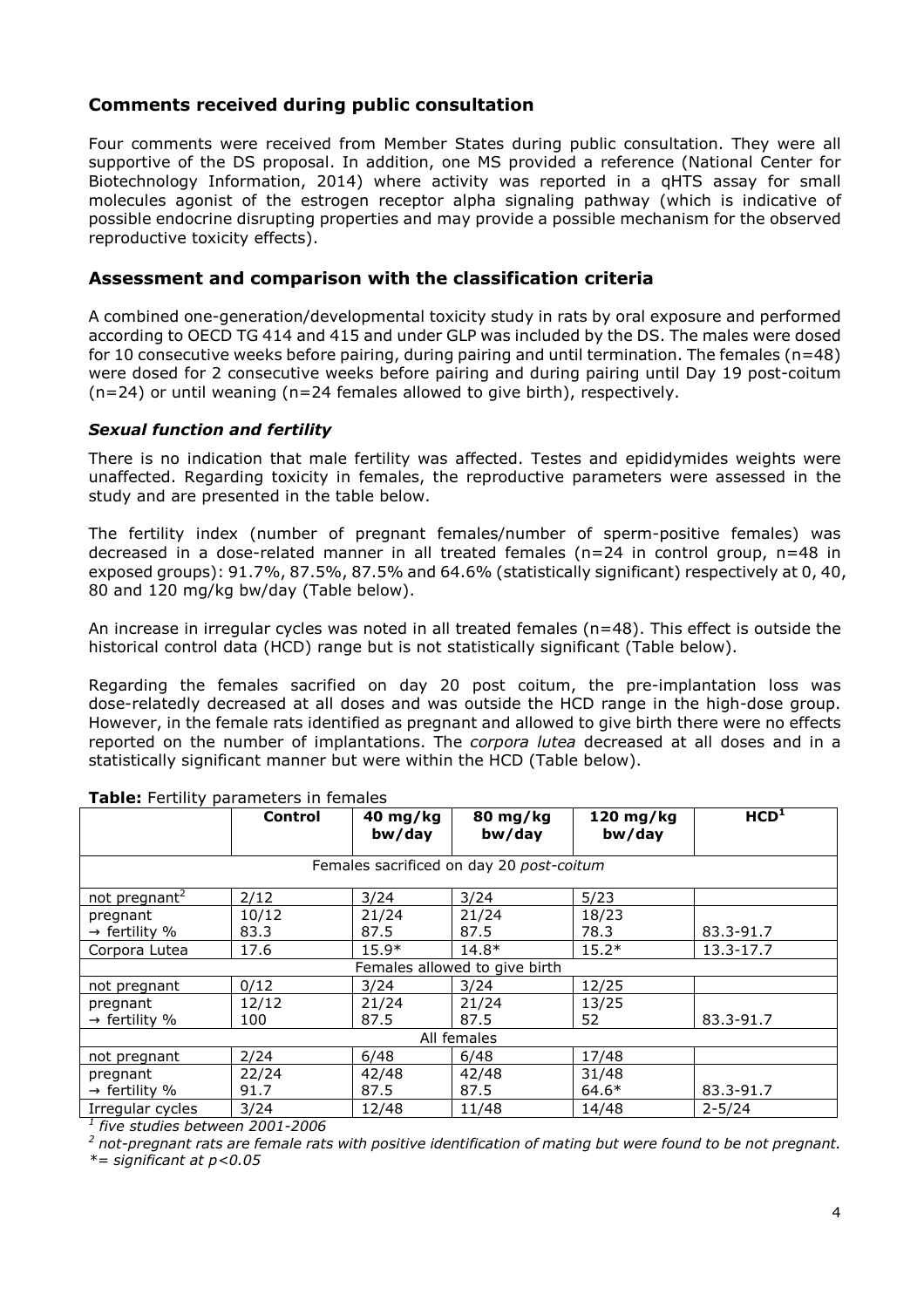### **Comments received during public consultation**

Four comments were received from Member States during public consultation. They were all supportive of the DS proposal. In addition, one MS provided a reference (National Center for Biotechnology Information, 2014) where activity was reported in a qHTS assay for small molecules agonist of the estrogen receptor alpha signaling pathway (which is indicative of possible endocrine disrupting properties and may provide a possible mechanism for the observed reproductive toxicity effects).

### **Assessment and comparison with the classification criteria**

A combined one-generation/developmental toxicity study in rats by oral exposure and performed according to OECD TG 414 and 415 and under GLP was included by the DS. The males were dosed for 10 consecutive weeks before pairing, during pairing and until termination. The females (n=48) were dosed for 2 consecutive weeks before pairing and during pairing until Day 19 post-coitum (n=24) or until weaning (n=24 females allowed to give birth), respectively.

#### *Sexual function and fertility*

There is no indication that male fertility was affected. Testes and epididymides weights were unaffected. Regarding toxicity in females, the reproductive parameters were assessed in the study and are presented in the table below.

The fertility index (number of pregnant females/number of sperm-positive females) was decreased in a dose-related manner in all treated females (n=24 in control group, n=48 in exposed groups): 91.7%, 87.5%, 87.5% and 64.6% (statistically significant) respectively at 0, 40, 80 and 120 mg/kg bw/day (Table below).

An increase in irregular cycles was noted in all treated females (n=48). This effect is outside the historical control data (HCD) range but is not statistically significant (Table below).

Regarding the females sacrified on day 20 post coitum, the pre-implantation loss was dose-relatedly decreased at all doses and was outside the HCD range in the high-dose group. However, in the female rats identified as pregnant and allowed to give birth there were no effects reported on the number of implantations. The *corpora lutea* decreased at all doses and in a statistically significant manner but were within the HCD (Table below).

|                                                                                                  | <b>Control</b>    | 40 mg/kg<br>bw/day | 80 mg/kg<br>bw/day            | 120 mg/kg<br>bw/day | HCD <sup>1</sup> |  |  |  |  |
|--------------------------------------------------------------------------------------------------|-------------------|--------------------|-------------------------------|---------------------|------------------|--|--|--|--|
| Females sacrificed on day 20 post-coitum                                                         |                   |                    |                               |                     |                  |  |  |  |  |
| not pregnant <sup>2</sup>                                                                        | 2/12              | 3/24               | 3/24                          | 5/23                |                  |  |  |  |  |
| pregnant                                                                                         | 10/12             | 21/24              | 21/24                         | 18/23               |                  |  |  |  |  |
| $\rightarrow$ fertility %                                                                        | 83.3              | 87.5               | 87.5                          | 78.3                | 83.3-91.7        |  |  |  |  |
| Corpora Lutea                                                                                    | 17.6              | $15.9*$            | $14.8*$                       | $15.2*$             | 13.3-17.7        |  |  |  |  |
|                                                                                                  |                   |                    | Females allowed to give birth |                     |                  |  |  |  |  |
| not pregnant                                                                                     | 0/12              | 3/24               | 3/24                          | 12/25               |                  |  |  |  |  |
| pregnant                                                                                         | 12/12             | 21/24              | 21/24                         | 13/25               |                  |  |  |  |  |
| $\rightarrow$ fertility %                                                                        | 100               | 87.5               | 87.5                          | 52                  | 83.3-91.7        |  |  |  |  |
|                                                                                                  |                   |                    | All females                   |                     |                  |  |  |  |  |
| not pregnant                                                                                     | 2/24              | 6/48               | 6/48                          | 17/48               |                  |  |  |  |  |
| pregnant                                                                                         | 22/24             | 42/48              | 42/48                         | 31/48               |                  |  |  |  |  |
| $\rightarrow$ fertility %                                                                        | 91.7              | 87.5               | 87.5                          | $64.6*$             | 83.3-91.7        |  |  |  |  |
| Irregular cycles<br>$\frac{1}{1}$ $\sim$ $\frac{1}{1}$ $\sim$ $\frac{1}{1}$ $\sim$ $\frac{1}{1}$ | 3/24<br>--------- | 12/48              | 11/48                         | 14/48               | $2 - 5/24$       |  |  |  |  |

#### **Table:** Fertility parameters in females

*1 five studies between 2001-2006* 

*2 not-pregnant rats are female rats with positive identification of mating but were found to be not pregnant. \*= significant at p<0.05*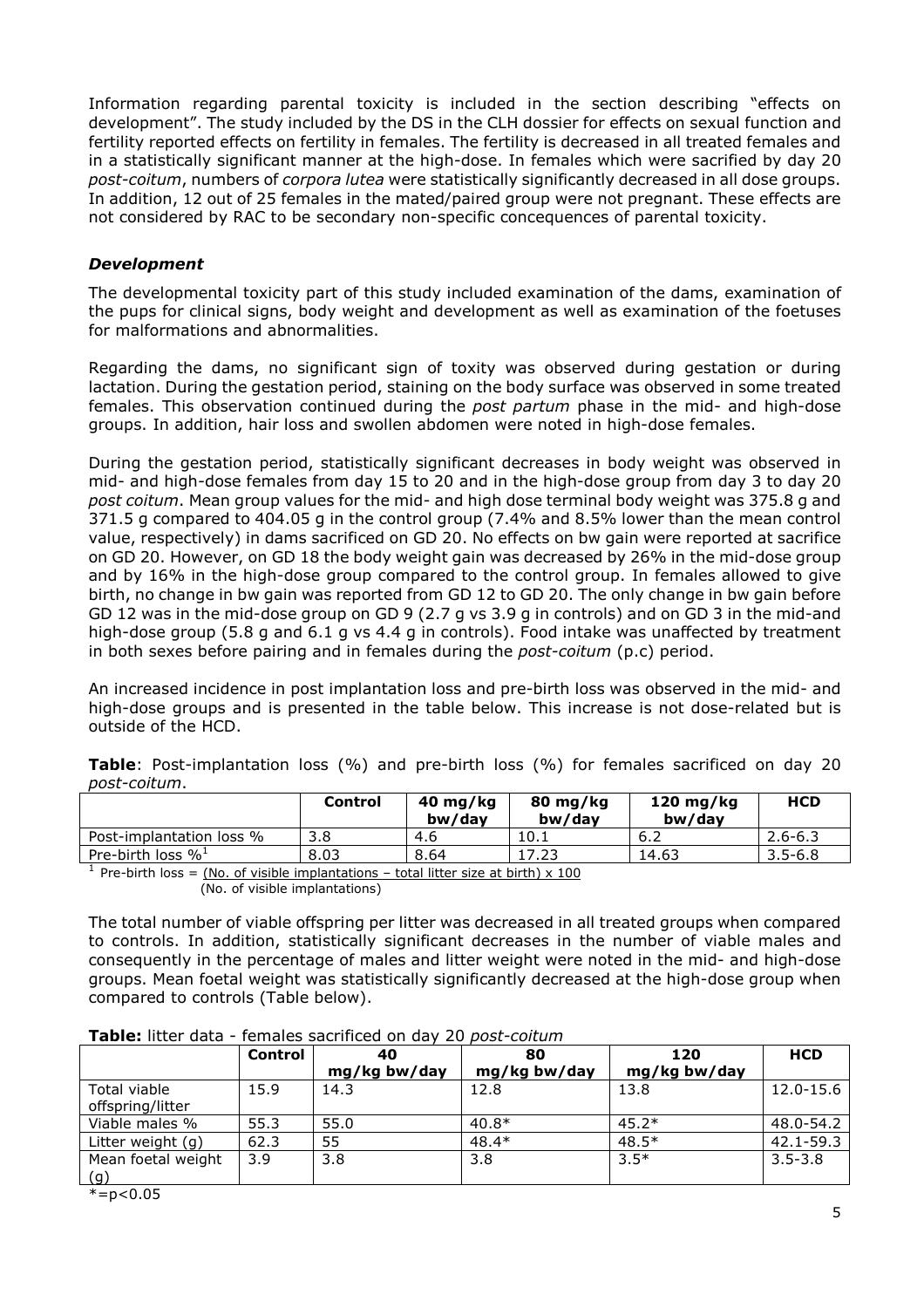Information regarding parental toxicity is included in the section describing "effects on development". The study included by the DS in the CLH dossier for effects on sexual function and fertility reported effects on fertility in females. The fertility is decreased in all treated females and in a statistically significant manner at the high-dose. In females which were sacrified by day 20 *post-coitum*, numbers of *corpora lutea* were statistically significantly decreased in all dose groups. In addition, 12 out of 25 females in the mated/paired group were not pregnant. These effects are not considered by RAC to be secondary non-specific concequences of parental toxicity.

#### *Development*

The developmental toxicity part of this study included examination of the dams, examination of the pups for clinical signs, body weight and development as well as examination of the foetuses for malformations and abnormalities.

Regarding the dams, no significant sign of toxity was observed during gestation or during lactation. During the gestation period, staining on the body surface was observed in some treated females. This observation continued during the *post partum* phase in the mid- and high-dose groups. In addition, hair loss and swollen abdomen were noted in high-dose females.

During the gestation period, statistically significant decreases in body weight was observed in mid- and high-dose females from day 15 to 20 and in the high-dose group from day 3 to day 20 *post coitum*. Mean group values for the mid- and high dose terminal body weight was 375.8 g and 371.5 g compared to 404.05 g in the control group (7.4% and 8.5% lower than the mean control value, respectively) in dams sacrificed on GD 20. No effects on bw gain were reported at sacrifice on GD 20. However, on GD 18 the body weight gain was decreased by 26% in the mid-dose group and by 16% in the high-dose group compared to the control group. In females allowed to give birth, no change in bw gain was reported from GD 12 to GD 20. The only change in bw gain before GD 12 was in the mid-dose group on GD 9 (2.7 g vs 3.9 g in controls) and on GD 3 in the mid-and high-dose group (5.8 g and 6.1 g vs 4.4 g in controls). Food intake was unaffected by treatment in both sexes before pairing and in females during the *post-coitum* (p.c) period.

An increased incidence in post implantation loss and pre-birth loss was observed in the mid- and high-dose groups and is presented in the table below. This increase is not dose-related but is outside of the HCD.

|                             | <b>Control</b> | $40$ mg/kg<br>bw/dav | 80 mg/kg<br>bw/dav | 120 mg/kg<br>bw/dav | <b>HCD</b>  |
|-----------------------------|----------------|----------------------|--------------------|---------------------|-------------|
| Post-implantation loss %    | 3.8            | 4.6                  | 10.1               | ՝ 6.∠               | $2.6 - 6.3$ |
| Pre-birth loss $\%^{\perp}$ | 8.03           | 8.64                 | 17.23              | 14.63               | $3.5 - 6.8$ |
|                             |                |                      |                    |                     |             |

**Table**: Post-implantation loss (%) and pre-birth loss (%) for females sacrificed on day 20 *post-coitum*.

<sup>1</sup> Pre-birth loss =  $(No. of visible implications - total litter size at birth) \times 100$ (No. of visible implantations)

The total number of viable offspring per litter was decreased in all treated groups when compared to controls. In addition, statistically significant decreases in the number of viable males and consequently in the percentage of males and litter weight were noted in the mid- and high-dose groups. Mean foetal weight was statistically significantly decreased at the high-dose group when compared to controls (Table below).

#### **Table:** litter data - females sacrificed on day 20 *post-coitum*

|                                  | <b>Control</b> | 40           | 80           | 120          | <b>HCD</b>  |
|----------------------------------|----------------|--------------|--------------|--------------|-------------|
|                                  |                | mg/kg bw/day | mg/kg bw/day | mg/kg bw/day |             |
| Total viable<br>offspring/litter | 15.9           | 14.3         | 12.8         | 13.8         | 12.0-15.6   |
| Viable males %                   | 55.3           | 55.0         | $40.8*$      | $45.2*$      | 48.0-54.2   |
| Litter weight (g)                | 62.3           | 55           | $48.4*$      | $48.5*$      | 42.1-59.3   |
| Mean foetal weight<br>(g)        | 3.9            | 3.8          | 3.8          | $3.5*$       | $3.5 - 3.8$ |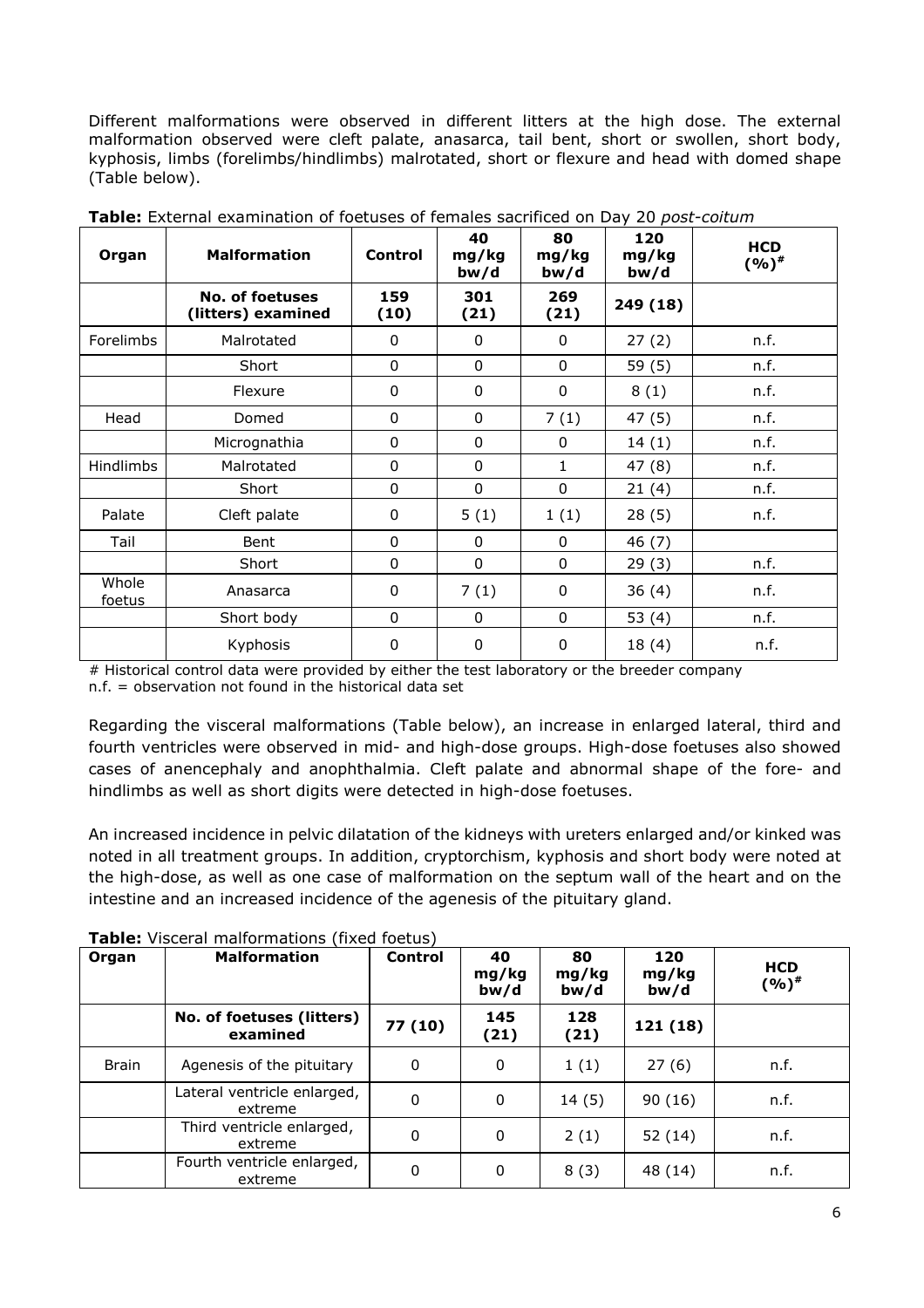Different malformations were observed in different litters at the high dose. The external malformation observed were cleft palate, anasarca, tail bent, short or swollen, short body, kyphosis, limbs (forelimbs/hindlimbs) malrotated, short or flexure and head with domed shape (Table below).

| Organ           | <b>Malformation</b>                   | <b>Control</b> | 40<br>mg/kg<br>bw/d | 80<br>mg/kg<br>bw/d | 120<br>mg/kg<br>bw/d | <b>HCD</b><br>$(9/6)^{*}$ |
|-----------------|---------------------------------------|----------------|---------------------|---------------------|----------------------|---------------------------|
|                 | No. of foetuses<br>(litters) examined | 159<br>(10)    | 301<br>(21)         | 269<br>(21)         | 249 (18)             |                           |
| Forelimbs       | Malrotated                            | $\mathbf{0}$   | $\mathbf{0}$        | 0                   | 27(2)                | n.f.                      |
|                 | Short                                 | $\mathbf{0}$   | $\mathbf{0}$        | $\Omega$            | 59(5)                | n.f.                      |
|                 | Flexure                               | $\mathbf{0}$   | 0                   | 0                   | 8(1)                 | n.f.                      |
| Head            | Domed                                 | 0              | $\mathbf 0$         | 7(1)                | 47 (5)               | n.f.                      |
|                 | Micrognathia                          | 0              | $\mathbf 0$         | 0                   | 14(1)                | n.f.                      |
| Hindlimbs       | Malrotated                            | 0              | 0                   | 1                   | 47(8)                | n.f.                      |
|                 | Short                                 | $\Omega$       | 0                   | $\Omega$            | 21(4)                | n.f.                      |
| Palate          | Cleft palate                          | 0              | 5(1)                | 1(1)                | 28(5)                | n.f.                      |
| Tail            | Bent                                  | 0              | $\Omega$            | 0                   | 46 (7)               |                           |
|                 | Short                                 | $\Omega$       | $\mathbf{0}$        | 0                   | 29(3)                | n.f.                      |
| Whole<br>foetus | Anasarca                              | 0              | 7(1)                | $\mathbf{0}$        | 36(4)                | n.f.                      |
|                 | Short body                            | 0              | $\mathbf{0}$        | 0                   | 53 $(4)$             | n.f.                      |
|                 | Kyphosis                              | 0              | 0                   | $\mathbf{0}$        | 18(4)                | n.f.                      |

**Table:** External examination of foetuses of females sacrificed on Day 20 *post-coitum*

# Historical control data were provided by either the test laboratory or the breeder company n.f. = observation not found in the historical data set

Regarding the visceral malformations (Table below), an increase in enlarged lateral, third and fourth ventricles were observed in mid- and high-dose groups. High-dose foetuses also showed cases of anencephaly and anophthalmia. Cleft palate and abnormal shape of the fore- and hindlimbs as well as short digits were detected in high-dose foetuses.

An increased incidence in pelvic dilatation of the kidneys with ureters enlarged and/or kinked was noted in all treatment groups. In addition, cryptorchism, kyphosis and short body were noted at the high-dose, as well as one case of malformation on the septum wall of the heart and on the intestine and an increased incidence of the agenesis of the pituitary gland.

| Organ        | <b>Malformation</b>                    | <b>Control</b> | 40<br>mg/kg<br>bw/d | 80<br>mg/kg<br>bw/d | 120<br>mg/kg<br>bw/d | <b>HCD</b><br>(%)# |
|--------------|----------------------------------------|----------------|---------------------|---------------------|----------------------|--------------------|
|              | No. of foetuses (litters)<br>examined  | 77 (10)        | 145<br>(21)         | 128<br>(21)         | 121(18)              |                    |
| <b>Brain</b> | Agenesis of the pituitary              | 0              | $\mathbf 0$         | 1(1)                | 27(6)                | n.f.               |
|              | Lateral ventricle enlarged,<br>extreme | 0              | $\Omega$            | 14(5)               | 90(16)               | n.f.               |
|              | Third ventricle enlarged,<br>extreme   | 0              | 0                   | 2(1)                | 52(14)               | n.f.               |
|              | Fourth ventricle enlarged,<br>extreme  | 0              | 0                   | 8(3)                | 48 (14)              | n.f.               |

**Table:** Visceral malformations (fixed foetus)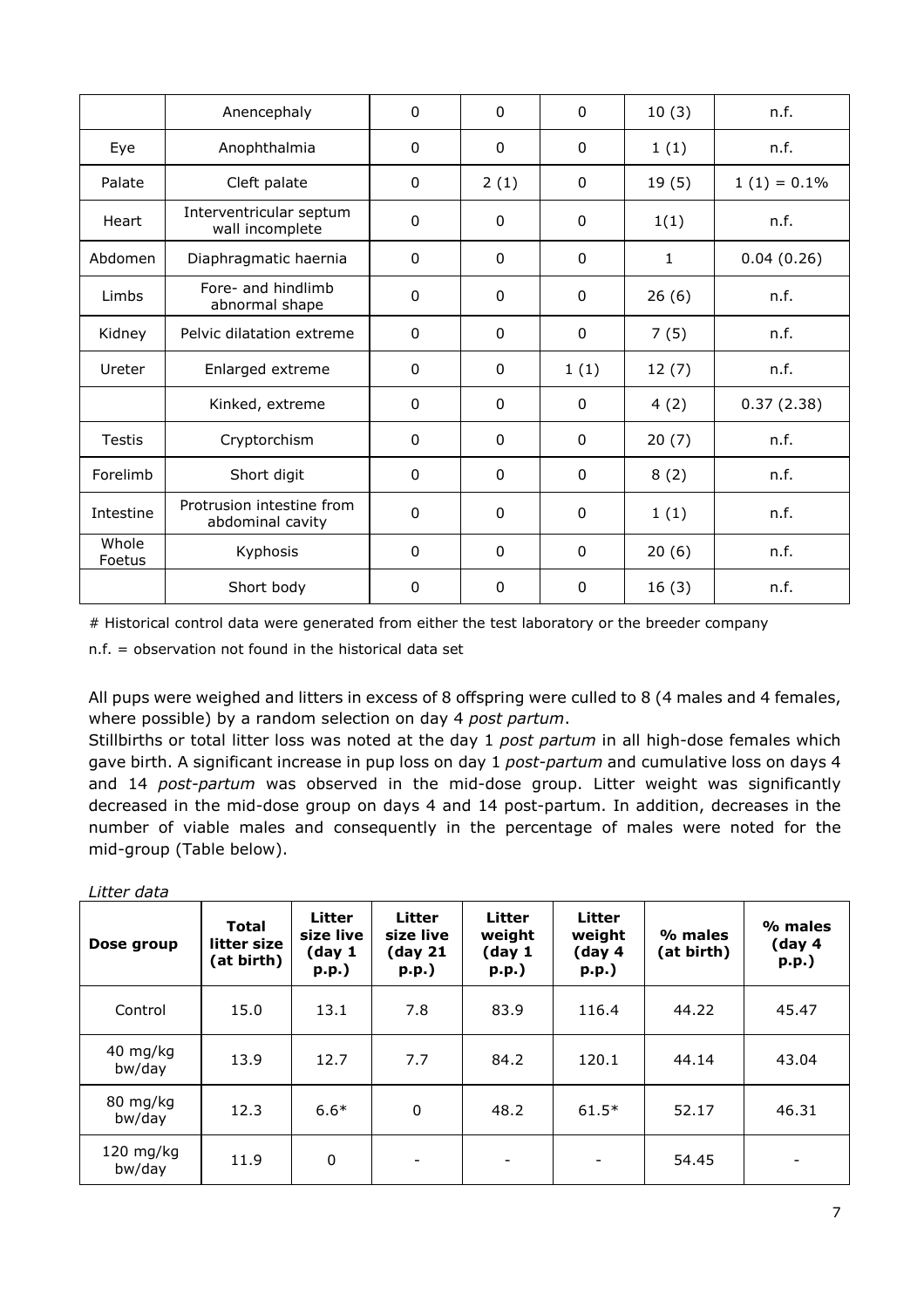|                 | Anencephaly                                   | $\mathbf{0}$ | $\Omega$     | $\Omega$     | 10(3) | n.f.           |
|-----------------|-----------------------------------------------|--------------|--------------|--------------|-------|----------------|
| Eye             | Anophthalmia                                  | 0            | $\mathbf{0}$ | $\mathbf{0}$ | 1(1)  | n.f.           |
| Palate          | Cleft palate                                  | 0            | 2(1)         | 0            | 19(5) | $1(1) = 0.1\%$ |
| Heart           | Interventricular septum<br>wall incomplete    | $\mathbf{0}$ | $\Omega$     | $\Omega$     | 1(1)  | n.f.           |
| Abdomen         | Diaphragmatic haernia                         | $\mathbf 0$  | $\mathbf{0}$ | $\mathbf{0}$ | 1     | 0.04(0.26)     |
| Limbs           | Fore- and hindlimb<br>abnormal shape          | $\mathbf{0}$ | $\mathbf{0}$ | $\Omega$     | 26(6) | n.f.           |
| Kidney          | Pelvic dilatation extreme                     | $\mathbf{0}$ | $\Omega$     | $\Omega$     | 7(5)  | n.f.           |
| Ureter          | Enlarged extreme                              | 0            | $\mathbf{0}$ | 1(1)         | 12(7) | n.f.           |
|                 | Kinked, extreme                               | 0            | $\mathbf{0}$ | $\Omega$     | 4(2)  | 0.37(2.38)     |
| <b>Testis</b>   | Cryptorchism                                  | 0            | $\mathbf{0}$ | $\Omega$     | 20(7) | n.f.           |
| Forelimb        | Short digit                                   | $\mathbf{0}$ | $\mathbf{0}$ | $\mathbf{0}$ | 8(2)  | n.f.           |
| Intestine       | Protrusion intestine from<br>abdominal cavity | $\Omega$     | $\Omega$     | $\Omega$     | 1(1)  | n.f.           |
| Whole<br>Foetus | Kyphosis                                      | $\Omega$     | $\Omega$     | $\Omega$     | 20(6) | n.f.           |
|                 | Short body                                    | 0            | $\mathbf{0}$ | $\Omega$     | 16(3) | n.f.           |

# Historical control data were generated from either the test laboratory or the breeder company

n.f. = observation not found in the historical data set

All pups were weighed and litters in excess of 8 offspring were culled to 8 (4 males and 4 females, where possible) by a random selection on day 4 *post partum*.

Stillbirths or total litter loss was noted at the day 1 *post partum* in all high-dose females which gave birth. A significant increase in pup loss on day 1 *post-partum* and cumulative loss on days 4 and 14 *post-partum* was observed in the mid-dose group. Litter weight was significantly decreased in the mid-dose group on days 4 and 14 post-partum. In addition, decreases in the number of viable males and consequently in the percentage of males were noted for the mid-group (Table below).

| Dose group          | <b>Total</b><br>litter size<br>(at birth) | Litter<br>size live<br>(day 1<br>p.p.) | Litter<br>size live<br>(day <sub>21</sub> )<br>p.p. | Litter<br>weight<br>(day 1)<br>$p.p.$ ) | <b>Litter</b><br>weight<br>(day 4<br>$p.p.$ ) | % males<br>(at birth) | % males<br>(day 4<br>$p.p.$ ) |
|---------------------|-------------------------------------------|----------------------------------------|-----------------------------------------------------|-----------------------------------------|-----------------------------------------------|-----------------------|-------------------------------|
| Control             | 15.0                                      | 13.1                                   | 7.8                                                 | 83.9                                    | 116.4                                         | 44.22                 | 45.47                         |
| 40 mg/kg<br>bw/day  | 13.9                                      | 12.7                                   | 7.7                                                 | 84.2                                    | 120.1                                         | 44.14                 | 43.04                         |
| 80 mg/kg<br>bw/day  | 12.3                                      | $6.6*$                                 | $\mathbf{0}$                                        | 48.2                                    | $61.5*$                                       | 52.17                 | 46.31                         |
| 120 mg/kg<br>bw/day | 11.9                                      | $\mathbf 0$                            | $\overline{\phantom{a}}$                            | $\overline{\phantom{a}}$                | $\overline{\phantom{a}}$                      | 54.45                 |                               |

*Litter data*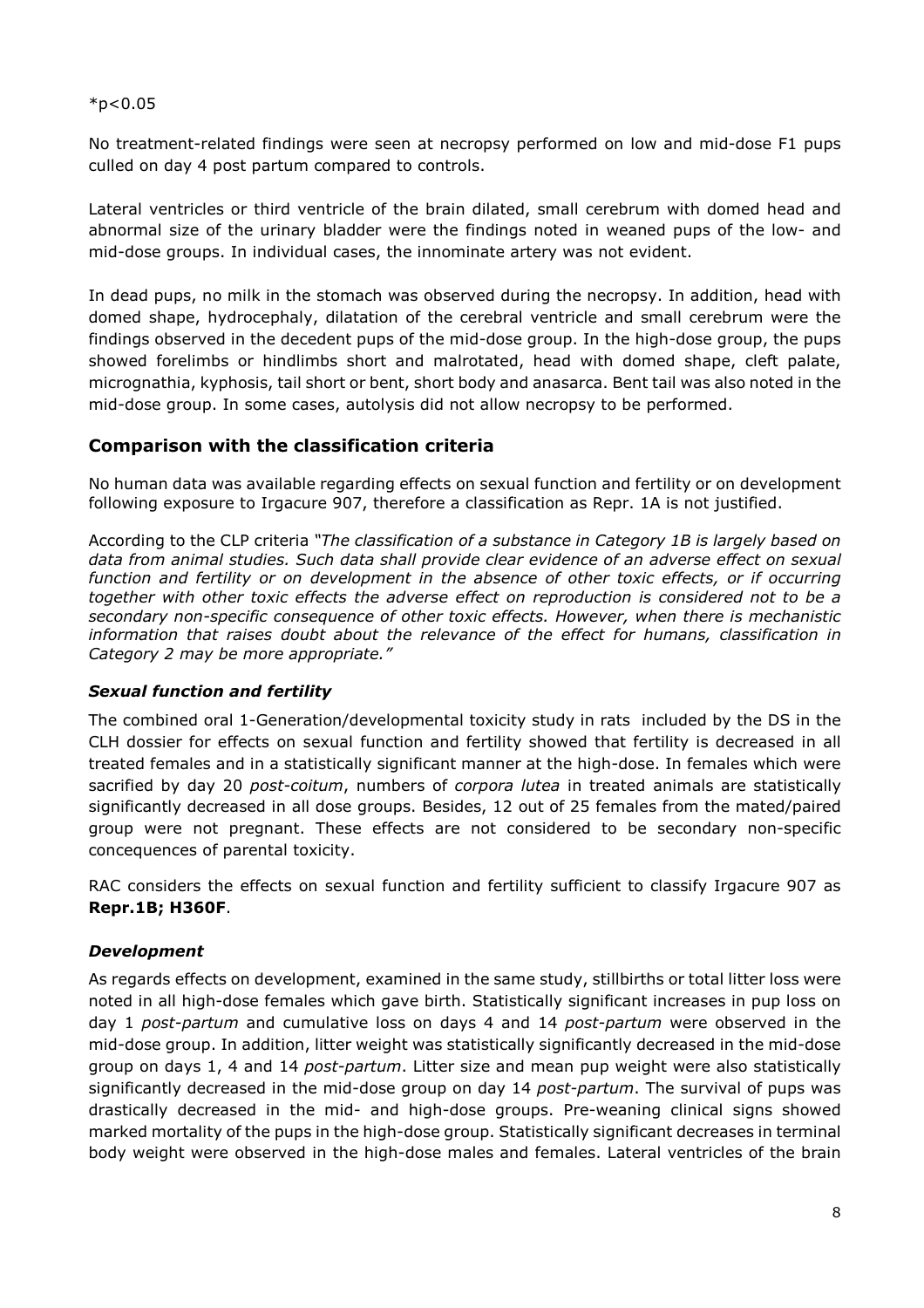#### $*p<0.05$

No treatment-related findings were seen at necropsy performed on low and mid-dose F1 pups culled on day 4 post partum compared to controls.

Lateral ventricles or third ventricle of the brain dilated, small cerebrum with domed head and abnormal size of the urinary bladder were the findings noted in weaned pups of the low- and mid-dose groups. In individual cases, the innominate artery was not evident.

In dead pups, no milk in the stomach was observed during the necropsy. In addition, head with domed shape, hydrocephaly, dilatation of the cerebral ventricle and small cerebrum were the findings observed in the decedent pups of the mid-dose group. In the high-dose group, the pups showed forelimbs or hindlimbs short and malrotated, head with domed shape, cleft palate, micrognathia, kyphosis, tail short or bent, short body and anasarca. Bent tail was also noted in the mid-dose group. In some cases, autolysis did not allow necropsy to be performed.

#### **Comparison with the classification criteria**

No human data was available regarding effects on sexual function and fertility or on development following exposure to Irgacure 907, therefore a classification as Repr. 1A is not justified.

According to the CLP criteria *"The classification of a substance in Category 1B is largely based on data from animal studies. Such data shall provide clear evidence of an adverse effect on sexual function and fertility or on development in the absence of other toxic effects, or if occurring together with other toxic effects the adverse effect on reproduction is considered not to be a secondary non-specific consequence of other toxic effects. However, when there is mechanistic information that raises doubt about the relevance of the effect for humans, classification in Category 2 may be more appropriate."*

#### *Sexual function and fertility*

The combined oral 1-Generation/developmental toxicity study in rats included by the DS in the CLH dossier for effects on sexual function and fertility showed that fertility is decreased in all treated females and in a statistically significant manner at the high-dose. In females which were sacrified by day 20 *post-coitum*, numbers of *corpora lutea* in treated animals are statistically significantly decreased in all dose groups. Besides, 12 out of 25 females from the mated/paired group were not pregnant. These effects are not considered to be secondary non-specific concequences of parental toxicity.

RAC considers the effects on sexual function and fertility sufficient to classify Irgacure 907 as **Repr.1B; H360F**.

#### *Development*

As regards effects on development, examined in the same study, stillbirths or total litter loss were noted in all high-dose females which gave birth. Statistically significant increases in pup loss on day 1 *post-partum* and cumulative loss on days 4 and 14 *post-partum* were observed in the mid-dose group. In addition, litter weight was statistically significantly decreased in the mid-dose group on days 1, 4 and 14 *post-partum*. Litter size and mean pup weight were also statistically significantly decreased in the mid-dose group on day 14 *post-partum*. The survival of pups was drastically decreased in the mid- and high-dose groups. Pre-weaning clinical signs showed marked mortality of the pups in the high-dose group. Statistically significant decreases in terminal body weight were observed in the high-dose males and females. Lateral ventricles of the brain